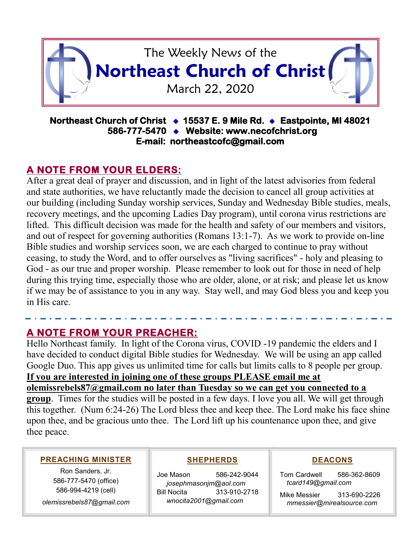

#### **Northeast Church of Christ 15537 E. 9 Mile Rd. Eastpointe, MI 48021 586-777-5470 Website: www.necofchrist.org E-mail: northeastcofc@gmail.com**

# **A NOTE FROM YOUR ELDERS:**

After a great deal of prayer and discussion, and in light of the latest advisories from federal and state authorities, we have reluctantly made the decision to cancel all group activities at our building (including Sunday worship services, Sunday and Wednesday Bible studies, meals, recovery meetings, and the upcoming Ladies Day program), until corona virus restrictions are lifted. This difficult decision was made for the health and safety of our members and visitors, and out of respect for governing authorities (Romans 13:1-7). As we work to provide on-line Bible studies and worship services soon, we are each charged to continue to pray without ceasing, to study the Word, and to offer ourselves as "living sacrifices" - holy and pleasing to God - as our true and proper worship. Please remember to look out for those in need of help during this trying time, especially those who are older, alone, or at risk; and please let us know if we may be of assistance to you in any way. Stay well, and may God bless you and keep you in His care.

## **A NOTE FROM YOUR PREACHER:**

Hello Northeast family. In light of the Corona virus, COVID -19 pandemic the elders and I have decided to conduct digital Bible studies for Wednesday. We will be using an app called Google Duo. This app gives us unlimited time for calls but limits calls to 8 people per group. **If you are interested in joining one of these groups PLEASE email me at olemissrebels87@gmail.com no later than Tuesday so we can get you connected to a group**. Times for the studies will be posted in a few days. I love you all. We will get through this together. (Num 6:24-26) The Lord bless thee and keep thee. The Lord make his face shine upon thee, and be gracious unto thee. The Lord lift up his countenance upon thee, and give thee peace.

#### **PREACHING MINISTER**

Ron Sanders, Jr. 586-777-5470 (office) 586-994-4219 (cell)

*olemissrebels87@gmail.com*

## **SHEPHERDS**

Joe Mason 586-242-9044 *josephmasonjm@aol.com* Bill Nocita 313-910-2718 *wnocita2001@gmail.com*

## **DEACONS**

Tom Cardwell 586-362-8609 *tcard149@gmail.com*

Mike Messier 313-690-2226 *mmessier@mirealsource.com*